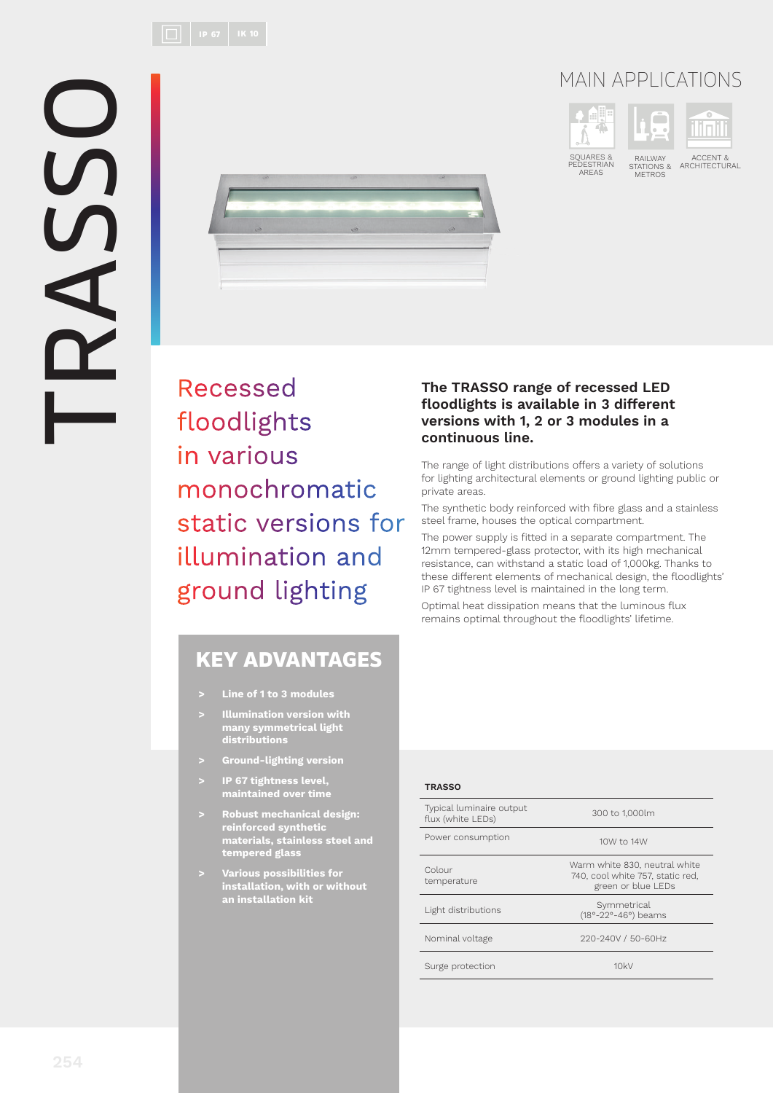

SQUARES & PEDESTRIAN AREAS

RAILWAY STATIONS & METROS

m

ACCENT &<br>ARCHITECTURAL



Recessed floodlights in various monochromatic static versions for illumination and ground lighting

## KEY ADVANTAGES

- **> Line of 1 to 3 modules**
- **> Illumination version with many symmetrical light distributions**
- **> Ground-lighting version**
- **> IP 67 tightness level, maintained over time**
- **> Robust mechanical design: reinforced synthetic materials, stainless steel and tempered glass**
- **> Various possibilities for installation, with or without an installation kit**

## **The TRASSO range of recessed LED fl oodlights is available in 3 different versions with 1, 2 or 3 modules in a continuous line.**

The range of light distributions offers a variety of solutions for lighting architectural elements or ground lighting public or private areas.

The synthetic body reinforced with fibre glass and a stainless steel frame, houses the optical compartment.

The power supply is fitted in a separate compartment. The 12mm tempered-glass protector, with its high mechanical resistance, can withstand a static load of 1,000kg. Thanks to these different elements of mechanical design, the floodlights' IP 67 tightness level is maintained in the long term.

Optimal heat dissipation means that the luminous flux remains optimal throughout the floodlights' lifetime.

## **TRASSO**

| Typical luminaire output<br>flux (white LEDs) | 300 to 1,000lm                                                                          |  |
|-----------------------------------------------|-----------------------------------------------------------------------------------------|--|
| Power consumption                             | 10W to 14W                                                                              |  |
| Colour<br>temperature                         | Warm white 830, neutral white<br>740, cool white 757, static red.<br>green or blue LEDs |  |
| Light distributions                           | Symmetrical<br>(18°-22°-46°) beams                                                      |  |
| Nominal voltage                               | 220-240V / 50-60Hz                                                                      |  |
| Surge protection                              | 10kV                                                                                    |  |
|                                               |                                                                                         |  |